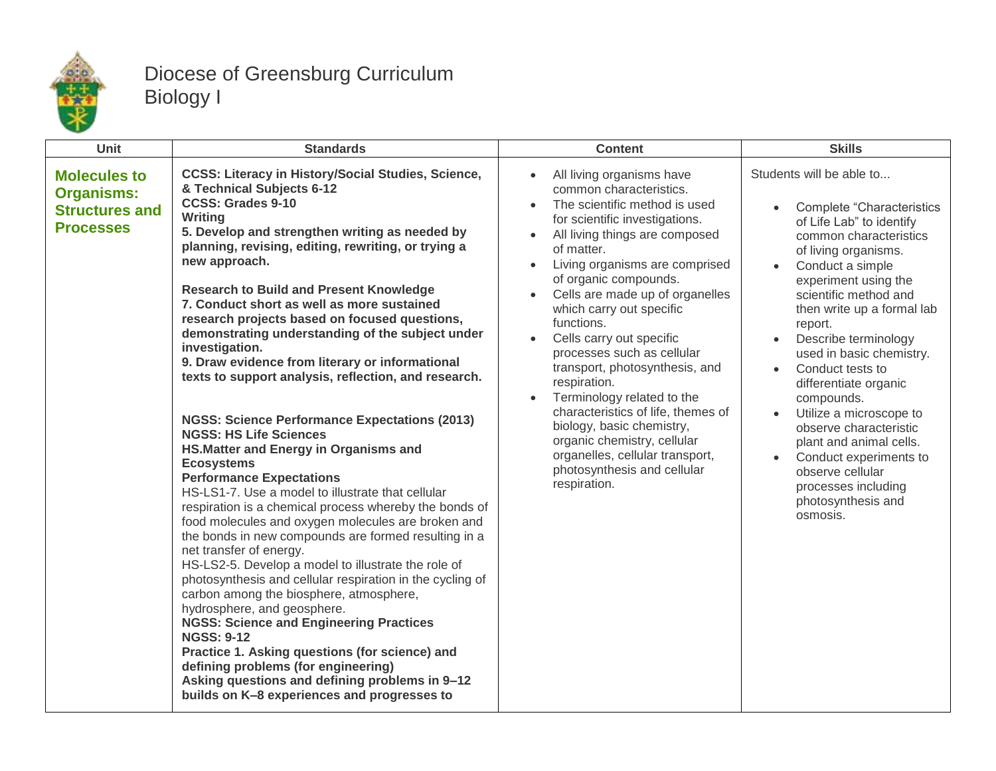

## Diocese of Greensburg Curriculum Biology I

| Unit                                                                                  | <b>Standards</b>                                                                                                                                                                                                                                                                                                                                                                                                                                                                                                                                                                                                                                                                                                                                                                                                                                                                                                                                                                                                                                                                                                                                                                                                                                                                                                                                                                                                                                                                                            | <b>Content</b>                                                                                                                                                                                                                                                                                                                                                                                                                                                                                                                                                                                                                                                                       | <b>Skills</b>                                                                                                                                                                                                                                                                                                                                                                                                                                                                                                                                                                            |
|---------------------------------------------------------------------------------------|-------------------------------------------------------------------------------------------------------------------------------------------------------------------------------------------------------------------------------------------------------------------------------------------------------------------------------------------------------------------------------------------------------------------------------------------------------------------------------------------------------------------------------------------------------------------------------------------------------------------------------------------------------------------------------------------------------------------------------------------------------------------------------------------------------------------------------------------------------------------------------------------------------------------------------------------------------------------------------------------------------------------------------------------------------------------------------------------------------------------------------------------------------------------------------------------------------------------------------------------------------------------------------------------------------------------------------------------------------------------------------------------------------------------------------------------------------------------------------------------------------------|--------------------------------------------------------------------------------------------------------------------------------------------------------------------------------------------------------------------------------------------------------------------------------------------------------------------------------------------------------------------------------------------------------------------------------------------------------------------------------------------------------------------------------------------------------------------------------------------------------------------------------------------------------------------------------------|------------------------------------------------------------------------------------------------------------------------------------------------------------------------------------------------------------------------------------------------------------------------------------------------------------------------------------------------------------------------------------------------------------------------------------------------------------------------------------------------------------------------------------------------------------------------------------------|
| <b>Molecules to</b><br><b>Organisms:</b><br><b>Structures and</b><br><b>Processes</b> | <b>CCSS: Literacy in History/Social Studies, Science,</b><br>& Technical Subjects 6-12<br><b>CCSS: Grades 9-10</b><br>Writing<br>5. Develop and strengthen writing as needed by<br>planning, revising, editing, rewriting, or trying a<br>new approach.<br><b>Research to Build and Present Knowledge</b><br>7. Conduct short as well as more sustained<br>research projects based on focused questions,<br>demonstrating understanding of the subject under<br>investigation.<br>9. Draw evidence from literary or informational<br>texts to support analysis, reflection, and research.<br><b>NGSS: Science Performance Expectations (2013)</b><br><b>NGSS: HS Life Sciences</b><br>HS. Matter and Energy in Organisms and<br><b>Ecosystems</b><br><b>Performance Expectations</b><br>HS-LS1-7. Use a model to illustrate that cellular<br>respiration is a chemical process whereby the bonds of<br>food molecules and oxygen molecules are broken and<br>the bonds in new compounds are formed resulting in a<br>net transfer of energy.<br>HS-LS2-5. Develop a model to illustrate the role of<br>photosynthesis and cellular respiration in the cycling of<br>carbon among the biosphere, atmosphere,<br>hydrosphere, and geosphere.<br><b>NGSS: Science and Engineering Practices</b><br><b>NGSS: 9-12</b><br>Practice 1. Asking questions (for science) and<br>defining problems (for engineering)<br>Asking questions and defining problems in 9-12<br>builds on K-8 experiences and progresses to | All living organisms have<br>$\bullet$<br>common characteristics.<br>The scientific method is used<br>$\bullet$<br>for scientific investigations.<br>All living things are composed<br>of matter.<br>Living organisms are comprised<br>of organic compounds.<br>Cells are made up of organelles<br>which carry out specific<br>functions.<br>Cells carry out specific<br>$\bullet$<br>processes such as cellular<br>transport, photosynthesis, and<br>respiration.<br>Terminology related to the<br>characteristics of life, themes of<br>biology, basic chemistry,<br>organic chemistry, cellular<br>organelles, cellular transport,<br>photosynthesis and cellular<br>respiration. | Students will be able to<br><b>Complete "Characteristics</b><br>$\bullet$<br>of Life Lab" to identify<br>common characteristics<br>of living organisms.<br>Conduct a simple<br>experiment using the<br>scientific method and<br>then write up a formal lab<br>report.<br>Describe terminology<br>used in basic chemistry.<br>Conduct tests to<br>$\bullet$<br>differentiate organic<br>compounds.<br>Utilize a microscope to<br>observe characteristic<br>plant and animal cells.<br>Conduct experiments to<br>observe cellular<br>processes including<br>photosynthesis and<br>osmosis. |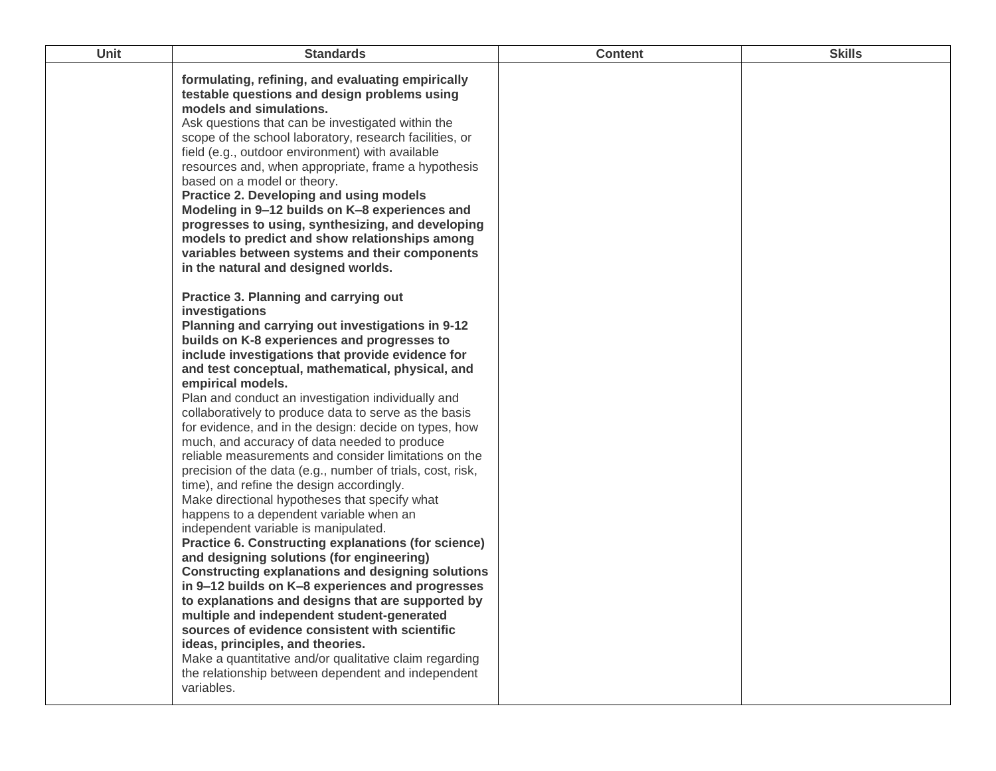| <b>Unit</b> | <b>Standards</b>                                                                                                                                                                                                                                                                                                                                                                                                                                                                                                                                                                                                                                                                                                                                                                                                                                                                                                                                                                                                                                                                                                                                                                                                                                                                                                          | <b>Content</b> | <b>Skills</b> |
|-------------|---------------------------------------------------------------------------------------------------------------------------------------------------------------------------------------------------------------------------------------------------------------------------------------------------------------------------------------------------------------------------------------------------------------------------------------------------------------------------------------------------------------------------------------------------------------------------------------------------------------------------------------------------------------------------------------------------------------------------------------------------------------------------------------------------------------------------------------------------------------------------------------------------------------------------------------------------------------------------------------------------------------------------------------------------------------------------------------------------------------------------------------------------------------------------------------------------------------------------------------------------------------------------------------------------------------------------|----------------|---------------|
|             | formulating, refining, and evaluating empirically<br>testable questions and design problems using<br>models and simulations.<br>Ask questions that can be investigated within the<br>scope of the school laboratory, research facilities, or<br>field (e.g., outdoor environment) with available<br>resources and, when appropriate, frame a hypothesis<br>based on a model or theory.<br>Practice 2. Developing and using models<br>Modeling in 9-12 builds on K-8 experiences and<br>progresses to using, synthesizing, and developing<br>models to predict and show relationships among<br>variables between systems and their components<br>in the natural and designed worlds.<br><b>Practice 3. Planning and carrying out</b>                                                                                                                                                                                                                                                                                                                                                                                                                                                                                                                                                                                       |                |               |
|             | investigations<br>Planning and carrying out investigations in 9-12<br>builds on K-8 experiences and progresses to<br>include investigations that provide evidence for<br>and test conceptual, mathematical, physical, and<br>empirical models.<br>Plan and conduct an investigation individually and<br>collaboratively to produce data to serve as the basis<br>for evidence, and in the design: decide on types, how<br>much, and accuracy of data needed to produce<br>reliable measurements and consider limitations on the<br>precision of the data (e.g., number of trials, cost, risk,<br>time), and refine the design accordingly.<br>Make directional hypotheses that specify what<br>happens to a dependent variable when an<br>independent variable is manipulated.<br>Practice 6. Constructing explanations (for science)<br>and designing solutions (for engineering)<br><b>Constructing explanations and designing solutions</b><br>in 9-12 builds on K-8 experiences and progresses<br>to explanations and designs that are supported by<br>multiple and independent student-generated<br>sources of evidence consistent with scientific<br>ideas, principles, and theories.<br>Make a quantitative and/or qualitative claim regarding<br>the relationship between dependent and independent<br>variables. |                |               |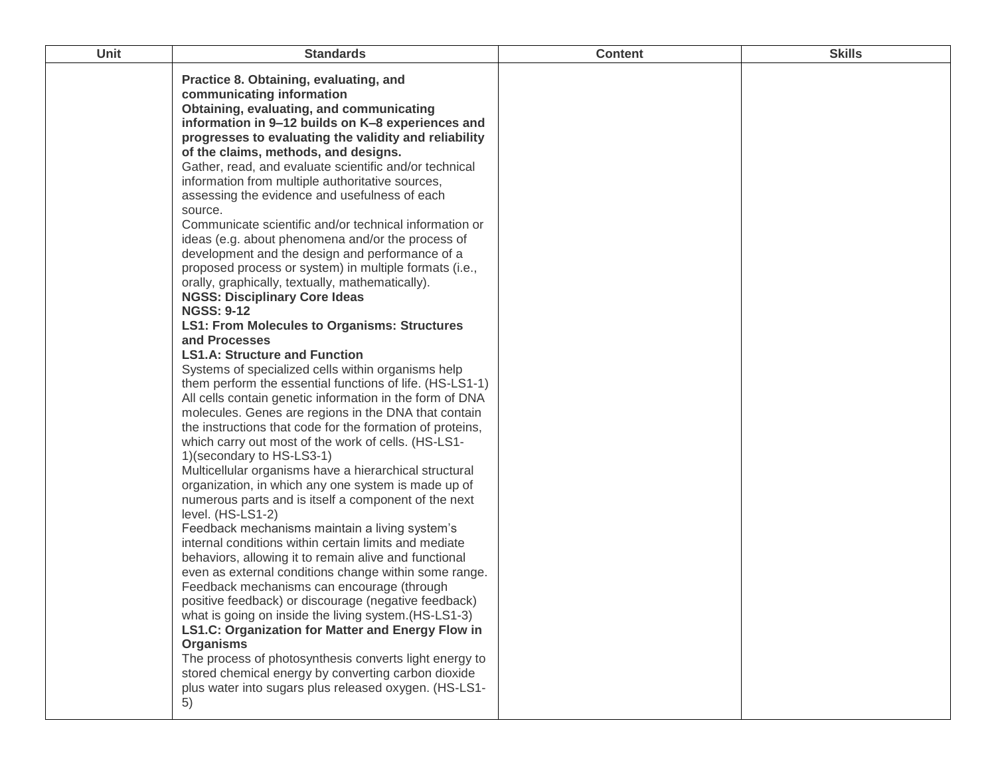| Unit | <b>Standards</b>                                                                                                                                                                                                                                                                                                                                                                                                                                                                                                                                                                                                                                                                                                                                                                                                                                                                                                                                                                                                                                                                                                                                                                                                                                                                                                                                                                                                                                                                                                                                                                                                                                                                                                                                                                                                                                                                                                                                                                                                                                                                                                                                      | <b>Content</b> | <b>Skills</b> |
|------|-------------------------------------------------------------------------------------------------------------------------------------------------------------------------------------------------------------------------------------------------------------------------------------------------------------------------------------------------------------------------------------------------------------------------------------------------------------------------------------------------------------------------------------------------------------------------------------------------------------------------------------------------------------------------------------------------------------------------------------------------------------------------------------------------------------------------------------------------------------------------------------------------------------------------------------------------------------------------------------------------------------------------------------------------------------------------------------------------------------------------------------------------------------------------------------------------------------------------------------------------------------------------------------------------------------------------------------------------------------------------------------------------------------------------------------------------------------------------------------------------------------------------------------------------------------------------------------------------------------------------------------------------------------------------------------------------------------------------------------------------------------------------------------------------------------------------------------------------------------------------------------------------------------------------------------------------------------------------------------------------------------------------------------------------------------------------------------------------------------------------------------------------------|----------------|---------------|
|      | Practice 8. Obtaining, evaluating, and<br>communicating information<br>Obtaining, evaluating, and communicating<br>information in 9-12 builds on K-8 experiences and<br>progresses to evaluating the validity and reliability<br>of the claims, methods, and designs.<br>Gather, read, and evaluate scientific and/or technical<br>information from multiple authoritative sources,<br>assessing the evidence and usefulness of each<br>source.<br>Communicate scientific and/or technical information or<br>ideas (e.g. about phenomena and/or the process of<br>development and the design and performance of a<br>proposed process or system) in multiple formats (i.e.,<br>orally, graphically, textually, mathematically).<br><b>NGSS: Disciplinary Core Ideas</b><br><b>NGSS: 9-12</b><br><b>LS1: From Molecules to Organisms: Structures</b><br>and Processes<br><b>LS1.A: Structure and Function</b><br>Systems of specialized cells within organisms help<br>them perform the essential functions of life. (HS-LS1-1)<br>All cells contain genetic information in the form of DNA<br>molecules. Genes are regions in the DNA that contain<br>the instructions that code for the formation of proteins,<br>which carry out most of the work of cells. (HS-LS1-<br>1)(secondary to HS-LS3-1)<br>Multicellular organisms have a hierarchical structural<br>organization, in which any one system is made up of<br>numerous parts and is itself a component of the next<br>level. (HS-LS1-2)<br>Feedback mechanisms maintain a living system's<br>internal conditions within certain limits and mediate<br>behaviors, allowing it to remain alive and functional<br>even as external conditions change within some range.<br>Feedback mechanisms can encourage (through<br>positive feedback) or discourage (negative feedback)<br>what is going on inside the living system.(HS-LS1-3)<br>LS1.C: Organization for Matter and Energy Flow in<br><b>Organisms</b><br>The process of photosynthesis converts light energy to<br>stored chemical energy by converting carbon dioxide<br>plus water into sugars plus released oxygen. (HS-LS1-<br>5) |                |               |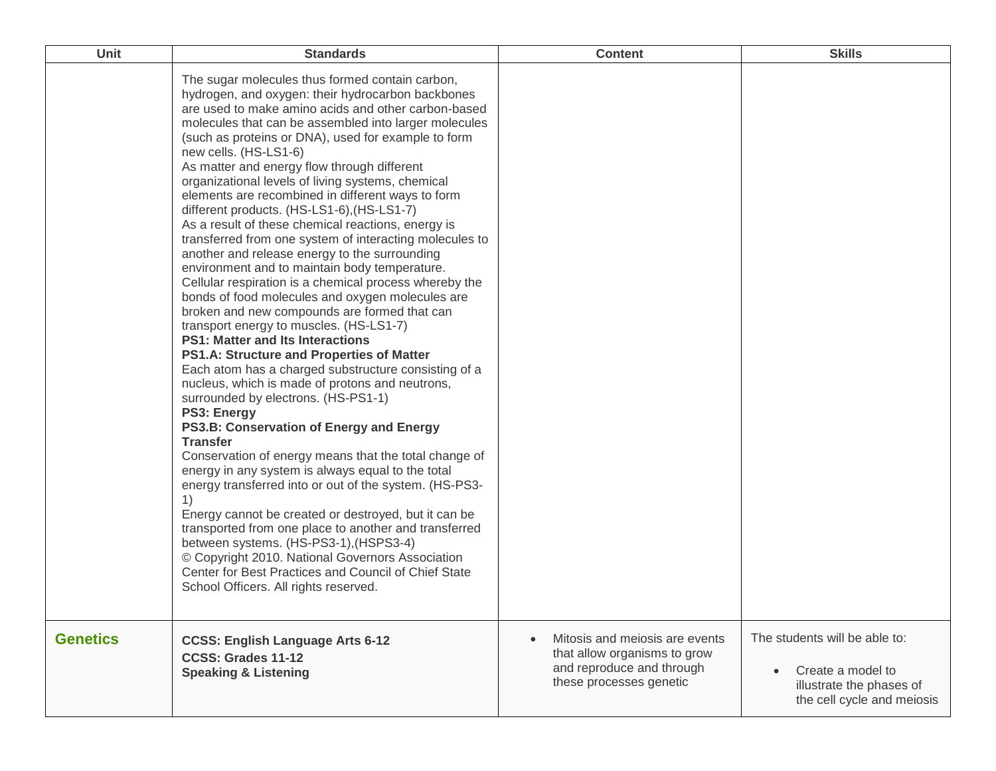| Unit            | <b>Standards</b>                                                                                                                                                                                                                                                                                                                                                                                                                                                                                                                                                                                                                                                                                                                                                                                                                                                                                                                                                                                                                                                                                                                                                                                                                                                                                                                                                                                                                                                                                                                                                                                                                                                                                                                                              | <b>Content</b>                                                                                                                      | <b>Skills</b>                                                                                                |
|-----------------|---------------------------------------------------------------------------------------------------------------------------------------------------------------------------------------------------------------------------------------------------------------------------------------------------------------------------------------------------------------------------------------------------------------------------------------------------------------------------------------------------------------------------------------------------------------------------------------------------------------------------------------------------------------------------------------------------------------------------------------------------------------------------------------------------------------------------------------------------------------------------------------------------------------------------------------------------------------------------------------------------------------------------------------------------------------------------------------------------------------------------------------------------------------------------------------------------------------------------------------------------------------------------------------------------------------------------------------------------------------------------------------------------------------------------------------------------------------------------------------------------------------------------------------------------------------------------------------------------------------------------------------------------------------------------------------------------------------------------------------------------------------|-------------------------------------------------------------------------------------------------------------------------------------|--------------------------------------------------------------------------------------------------------------|
|                 | The sugar molecules thus formed contain carbon,<br>hydrogen, and oxygen: their hydrocarbon backbones<br>are used to make amino acids and other carbon-based<br>molecules that can be assembled into larger molecules<br>(such as proteins or DNA), used for example to form<br>new cells. (HS-LS1-6)<br>As matter and energy flow through different<br>organizational levels of living systems, chemical<br>elements are recombined in different ways to form<br>different products. (HS-LS1-6), (HS-LS1-7)<br>As a result of these chemical reactions, energy is<br>transferred from one system of interacting molecules to<br>another and release energy to the surrounding<br>environment and to maintain body temperature.<br>Cellular respiration is a chemical process whereby the<br>bonds of food molecules and oxygen molecules are<br>broken and new compounds are formed that can<br>transport energy to muscles. (HS-LS1-7)<br><b>PS1: Matter and Its Interactions</b><br>PS1.A: Structure and Properties of Matter<br>Each atom has a charged substructure consisting of a<br>nucleus, which is made of protons and neutrons,<br>surrounded by electrons. (HS-PS1-1)<br>PS3: Energy<br>PS3.B: Conservation of Energy and Energy<br><b>Transfer</b><br>Conservation of energy means that the total change of<br>energy in any system is always equal to the total<br>energy transferred into or out of the system. (HS-PS3-<br>1)<br>Energy cannot be created or destroyed, but it can be<br>transported from one place to another and transferred<br>between systems. (HS-PS3-1), (HSPS3-4)<br>© Copyright 2010. National Governors Association<br>Center for Best Practices and Council of Chief State<br>School Officers. All rights reserved. |                                                                                                                                     |                                                                                                              |
| <b>Genetics</b> | <b>CCSS: English Language Arts 6-12</b><br>CCSS: Grades 11-12<br><b>Speaking &amp; Listening</b>                                                                                                                                                                                                                                                                                                                                                                                                                                                                                                                                                                                                                                                                                                                                                                                                                                                                                                                                                                                                                                                                                                                                                                                                                                                                                                                                                                                                                                                                                                                                                                                                                                                              | Mitosis and meiosis are events<br>$\bullet$<br>that allow organisms to grow<br>and reproduce and through<br>these processes genetic | The students will be able to:<br>Create a model to<br>illustrate the phases of<br>the cell cycle and meiosis |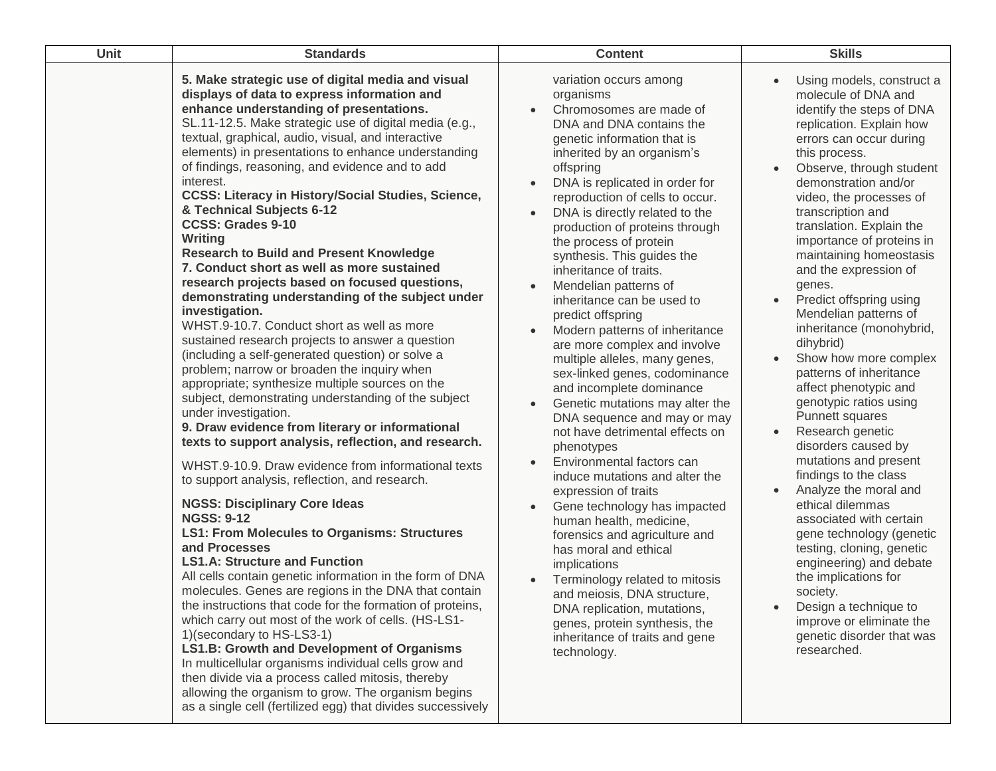| Unit | <b>Standards</b>                                                                                                                                                                                                                                                                                                                                                                                                                                                                                                                                                                                                                                                                                                                                                                                                                                                                                                                                                                                                                                                                                                                                                                                                                                                                                                                                                                                                                                                                                                                                                                                                                                                                                                                                                                                                                                                                                                                                                                                                                               | <b>Content</b>                                                                                                                                                                                                                                                                                                                                                                                                                                                                                                                                                                                                                                                                                                                                                                                                                                                                                                                                                                                                                                                                                                                                                                            | <b>Skills</b>                                                                                                                                                                                                                                                                                                                                                                                                                                                                                                                                                                                                                                                                                                                                                                                                                                                                                                                                                                                                                                                                       |
|------|------------------------------------------------------------------------------------------------------------------------------------------------------------------------------------------------------------------------------------------------------------------------------------------------------------------------------------------------------------------------------------------------------------------------------------------------------------------------------------------------------------------------------------------------------------------------------------------------------------------------------------------------------------------------------------------------------------------------------------------------------------------------------------------------------------------------------------------------------------------------------------------------------------------------------------------------------------------------------------------------------------------------------------------------------------------------------------------------------------------------------------------------------------------------------------------------------------------------------------------------------------------------------------------------------------------------------------------------------------------------------------------------------------------------------------------------------------------------------------------------------------------------------------------------------------------------------------------------------------------------------------------------------------------------------------------------------------------------------------------------------------------------------------------------------------------------------------------------------------------------------------------------------------------------------------------------------------------------------------------------------------------------------------------------|-------------------------------------------------------------------------------------------------------------------------------------------------------------------------------------------------------------------------------------------------------------------------------------------------------------------------------------------------------------------------------------------------------------------------------------------------------------------------------------------------------------------------------------------------------------------------------------------------------------------------------------------------------------------------------------------------------------------------------------------------------------------------------------------------------------------------------------------------------------------------------------------------------------------------------------------------------------------------------------------------------------------------------------------------------------------------------------------------------------------------------------------------------------------------------------------|-------------------------------------------------------------------------------------------------------------------------------------------------------------------------------------------------------------------------------------------------------------------------------------------------------------------------------------------------------------------------------------------------------------------------------------------------------------------------------------------------------------------------------------------------------------------------------------------------------------------------------------------------------------------------------------------------------------------------------------------------------------------------------------------------------------------------------------------------------------------------------------------------------------------------------------------------------------------------------------------------------------------------------------------------------------------------------------|
|      | 5. Make strategic use of digital media and visual<br>displays of data to express information and<br>enhance understanding of presentations.<br>SL.11-12.5. Make strategic use of digital media (e.g.,<br>textual, graphical, audio, visual, and interactive<br>elements) in presentations to enhance understanding<br>of findings, reasoning, and evidence and to add<br>interest.<br><b>CCSS: Literacy in History/Social Studies, Science,</b><br>& Technical Subjects 6-12<br><b>CCSS: Grades 9-10</b><br>Writing<br><b>Research to Build and Present Knowledge</b><br>7. Conduct short as well as more sustained<br>research projects based on focused questions,<br>demonstrating understanding of the subject under<br>investigation.<br>WHST.9-10.7. Conduct short as well as more<br>sustained research projects to answer a question<br>(including a self-generated question) or solve a<br>problem; narrow or broaden the inquiry when<br>appropriate; synthesize multiple sources on the<br>subject, demonstrating understanding of the subject<br>under investigation.<br>9. Draw evidence from literary or informational<br>texts to support analysis, reflection, and research.<br>WHST.9-10.9. Draw evidence from informational texts<br>to support analysis, reflection, and research.<br><b>NGSS: Disciplinary Core Ideas</b><br><b>NGSS: 9-12</b><br><b>LS1: From Molecules to Organisms: Structures</b><br>and Processes<br><b>LS1.A: Structure and Function</b><br>All cells contain genetic information in the form of DNA<br>molecules. Genes are regions in the DNA that contain<br>the instructions that code for the formation of proteins,<br>which carry out most of the work of cells. (HS-LS1-<br>1)(secondary to HS-LS3-1)<br><b>LS1.B: Growth and Development of Organisms</b><br>In multicellular organisms individual cells grow and<br>then divide via a process called mitosis, thereby<br>allowing the organism to grow. The organism begins<br>as a single cell (fertilized egg) that divides successively | variation occurs among<br>organisms<br>Chromosomes are made of<br>DNA and DNA contains the<br>genetic information that is<br>inherited by an organism's<br>offspring<br>DNA is replicated in order for<br>reproduction of cells to occur.<br>DNA is directly related to the<br>production of proteins through<br>the process of protein<br>synthesis. This guides the<br>inheritance of traits.<br>Mendelian patterns of<br>inheritance can be used to<br>predict offspring<br>Modern patterns of inheritance<br>are more complex and involve<br>multiple alleles, many genes,<br>sex-linked genes, codominance<br>and incomplete dominance<br>Genetic mutations may alter the<br>DNA sequence and may or may<br>not have detrimental effects on<br>phenotypes<br>Environmental factors can<br>induce mutations and alter the<br>expression of traits<br>Gene technology has impacted<br>$\bullet$<br>human health, medicine,<br>forensics and agriculture and<br>has moral and ethical<br>implications<br>Terminology related to mitosis<br>and meiosis, DNA structure,<br>DNA replication, mutations,<br>genes, protein synthesis, the<br>inheritance of traits and gene<br>technology. | Using models, construct a<br>$\bullet$<br>molecule of DNA and<br>identify the steps of DNA<br>replication. Explain how<br>errors can occur during<br>this process.<br>Observe, through student<br>$\bullet$<br>demonstration and/or<br>video, the processes of<br>transcription and<br>translation. Explain the<br>importance of proteins in<br>maintaining homeostasis<br>and the expression of<br>genes.<br>Predict offspring using<br>$\bullet$<br>Mendelian patterns of<br>inheritance (monohybrid,<br>dihybrid)<br>Show how more complex<br>$\bullet$<br>patterns of inheritance<br>affect phenotypic and<br>genotypic ratios using<br>Punnett squares<br>Research genetic<br>$\bullet$<br>disorders caused by<br>mutations and present<br>findings to the class<br>Analyze the moral and<br>$\bullet$<br>ethical dilemmas<br>associated with certain<br>gene technology (genetic<br>testing, cloning, genetic<br>engineering) and debate<br>the implications for<br>society.<br>Design a technique to<br>improve or eliminate the<br>genetic disorder that was<br>researched. |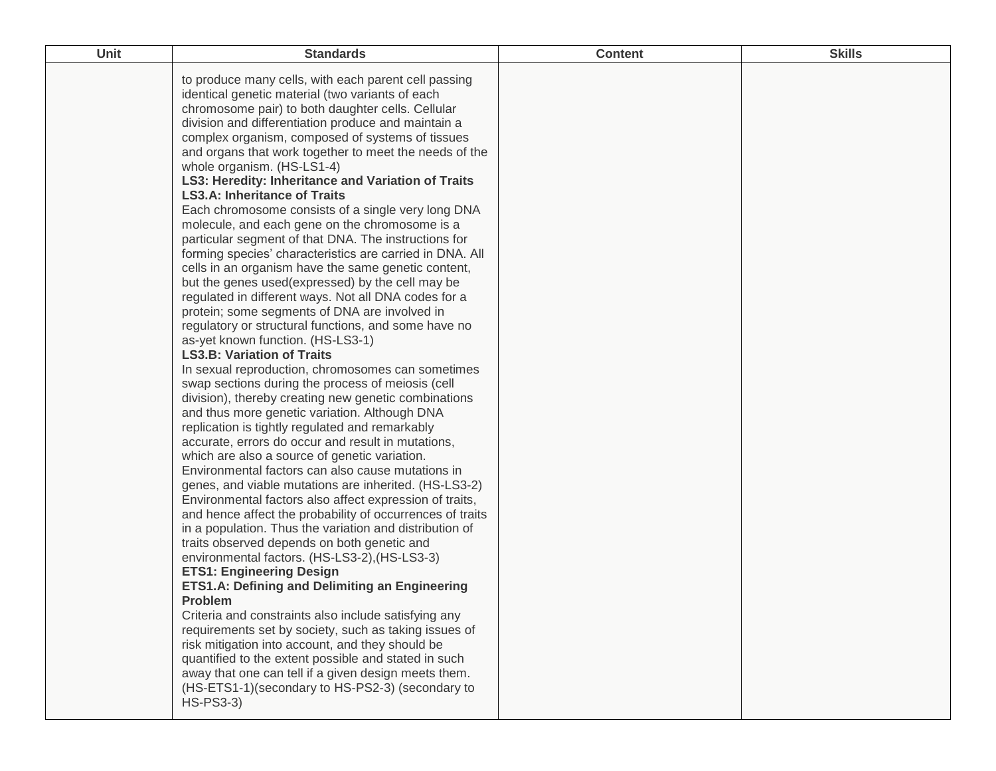| Unit | <b>Standards</b>                                                                                                                                                                                                                                                                                                                                                                                                                                                                                                                                                                                                                                                                                                                                                                                                                                                                                                                                                                                                                                                                                                                                                                                                                                                                                                                                                                                                                                                                                                                                                                                                                                                                                                                                                                                                                                                                                                                                                                                                                                                                                                                                                                                                                                                                             | <b>Content</b> | <b>Skills</b> |
|------|----------------------------------------------------------------------------------------------------------------------------------------------------------------------------------------------------------------------------------------------------------------------------------------------------------------------------------------------------------------------------------------------------------------------------------------------------------------------------------------------------------------------------------------------------------------------------------------------------------------------------------------------------------------------------------------------------------------------------------------------------------------------------------------------------------------------------------------------------------------------------------------------------------------------------------------------------------------------------------------------------------------------------------------------------------------------------------------------------------------------------------------------------------------------------------------------------------------------------------------------------------------------------------------------------------------------------------------------------------------------------------------------------------------------------------------------------------------------------------------------------------------------------------------------------------------------------------------------------------------------------------------------------------------------------------------------------------------------------------------------------------------------------------------------------------------------------------------------------------------------------------------------------------------------------------------------------------------------------------------------------------------------------------------------------------------------------------------------------------------------------------------------------------------------------------------------------------------------------------------------------------------------------------------------|----------------|---------------|
|      | to produce many cells, with each parent cell passing<br>identical genetic material (two variants of each<br>chromosome pair) to both daughter cells. Cellular<br>division and differentiation produce and maintain a<br>complex organism, composed of systems of tissues<br>and organs that work together to meet the needs of the<br>whole organism. (HS-LS1-4)<br>LS3: Heredity: Inheritance and Variation of Traits<br><b>LS3.A: Inheritance of Traits</b><br>Each chromosome consists of a single very long DNA<br>molecule, and each gene on the chromosome is a<br>particular segment of that DNA. The instructions for<br>forming species' characteristics are carried in DNA. All<br>cells in an organism have the same genetic content,<br>but the genes used(expressed) by the cell may be<br>regulated in different ways. Not all DNA codes for a<br>protein; some segments of DNA are involved in<br>regulatory or structural functions, and some have no<br>as-yet known function. (HS-LS3-1)<br><b>LS3.B: Variation of Traits</b><br>In sexual reproduction, chromosomes can sometimes<br>swap sections during the process of meiosis (cell<br>division), thereby creating new genetic combinations<br>and thus more genetic variation. Although DNA<br>replication is tightly regulated and remarkably<br>accurate, errors do occur and result in mutations,<br>which are also a source of genetic variation.<br>Environmental factors can also cause mutations in<br>genes, and viable mutations are inherited. (HS-LS3-2)<br>Environmental factors also affect expression of traits,<br>and hence affect the probability of occurrences of traits<br>in a population. Thus the variation and distribution of<br>traits observed depends on both genetic and<br>environmental factors. (HS-LS3-2), (HS-LS3-3)<br><b>ETS1: Engineering Design</b><br>ETS1.A: Defining and Delimiting an Engineering<br><b>Problem</b><br>Criteria and constraints also include satisfying any<br>requirements set by society, such as taking issues of<br>risk mitigation into account, and they should be<br>quantified to the extent possible and stated in such<br>away that one can tell if a given design meets them.<br>(HS-ETS1-1)(secondary to HS-PS2-3) (secondary to<br>$HS-PS3-3)$ |                |               |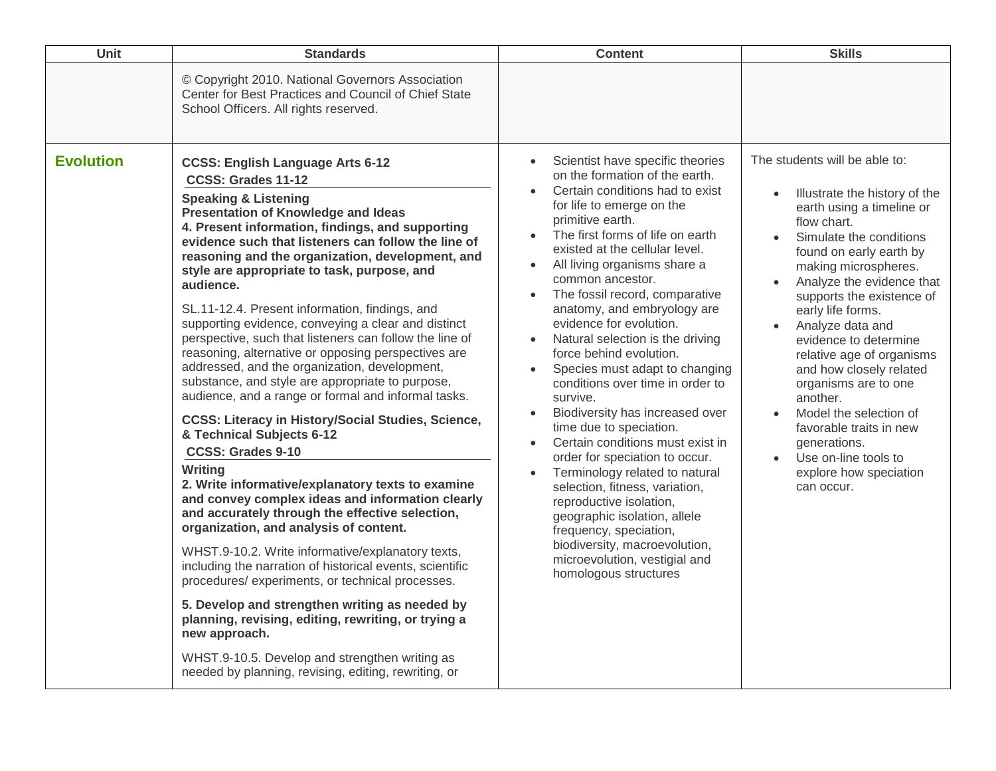| <b>Unit</b>      | <b>Standards</b>                                                                                                                                                                                                                                                                                                                                                                                                                                                                                                                                                                                                                                                                                                                                                                                                                                                                                                                                                                                                                                                                                                                                                                                                                                                                                                                                                                                                                                                                                                | <b>Content</b>                                                                                                                                                                                                                                                                                                                                                                                                                                                                                                                                                                                                                                                                                                                                                                                                                                                                                                                                                                                      | <b>Skills</b>                                                                                                                                                                                                                                                                                                                                                                                                                                                                                                                                                      |
|------------------|-----------------------------------------------------------------------------------------------------------------------------------------------------------------------------------------------------------------------------------------------------------------------------------------------------------------------------------------------------------------------------------------------------------------------------------------------------------------------------------------------------------------------------------------------------------------------------------------------------------------------------------------------------------------------------------------------------------------------------------------------------------------------------------------------------------------------------------------------------------------------------------------------------------------------------------------------------------------------------------------------------------------------------------------------------------------------------------------------------------------------------------------------------------------------------------------------------------------------------------------------------------------------------------------------------------------------------------------------------------------------------------------------------------------------------------------------------------------------------------------------------------------|-----------------------------------------------------------------------------------------------------------------------------------------------------------------------------------------------------------------------------------------------------------------------------------------------------------------------------------------------------------------------------------------------------------------------------------------------------------------------------------------------------------------------------------------------------------------------------------------------------------------------------------------------------------------------------------------------------------------------------------------------------------------------------------------------------------------------------------------------------------------------------------------------------------------------------------------------------------------------------------------------------|--------------------------------------------------------------------------------------------------------------------------------------------------------------------------------------------------------------------------------------------------------------------------------------------------------------------------------------------------------------------------------------------------------------------------------------------------------------------------------------------------------------------------------------------------------------------|
|                  | © Copyright 2010. National Governors Association<br>Center for Best Practices and Council of Chief State<br>School Officers. All rights reserved.                                                                                                                                                                                                                                                                                                                                                                                                                                                                                                                                                                                                                                                                                                                                                                                                                                                                                                                                                                                                                                                                                                                                                                                                                                                                                                                                                               |                                                                                                                                                                                                                                                                                                                                                                                                                                                                                                                                                                                                                                                                                                                                                                                                                                                                                                                                                                                                     |                                                                                                                                                                                                                                                                                                                                                                                                                                                                                                                                                                    |
| <b>Evolution</b> | <b>CCSS: English Language Arts 6-12</b><br>CCSS: Grades 11-12<br><b>Speaking &amp; Listening</b><br><b>Presentation of Knowledge and Ideas</b><br>4. Present information, findings, and supporting<br>evidence such that listeners can follow the line of<br>reasoning and the organization, development, and<br>style are appropriate to task, purpose, and<br>audience.<br>SL.11-12.4. Present information, findings, and<br>supporting evidence, conveying a clear and distinct<br>perspective, such that listeners can follow the line of<br>reasoning, alternative or opposing perspectives are<br>addressed, and the organization, development,<br>substance, and style are appropriate to purpose,<br>audience, and a range or formal and informal tasks.<br><b>CCSS: Literacy in History/Social Studies, Science,</b><br>& Technical Subjects 6-12<br><b>CCSS: Grades 9-10</b><br>Writing<br>2. Write informative/explanatory texts to examine<br>and convey complex ideas and information clearly<br>and accurately through the effective selection,<br>organization, and analysis of content.<br>WHST.9-10.2. Write informative/explanatory texts,<br>including the narration of historical events, scientific<br>procedures/experiments, or technical processes.<br>5. Develop and strengthen writing as needed by<br>planning, revising, editing, rewriting, or trying a<br>new approach.<br>WHST.9-10.5. Develop and strengthen writing as<br>needed by planning, revising, editing, rewriting, or | Scientist have specific theories<br>$\bullet$<br>on the formation of the earth.<br>Certain conditions had to exist<br>for life to emerge on the<br>primitive earth.<br>The first forms of life on earth<br>$\bullet$<br>existed at the cellular level.<br>All living organisms share a<br>$\bullet$<br>common ancestor.<br>The fossil record, comparative<br>$\bullet$<br>anatomy, and embryology are<br>evidence for evolution.<br>Natural selection is the driving<br>force behind evolution.<br>Species must adapt to changing<br>$\bullet$<br>conditions over time in order to<br>survive.<br>Biodiversity has increased over<br>time due to speciation.<br>Certain conditions must exist in<br>order for speciation to occur.<br>Terminology related to natural<br>$\bullet$<br>selection, fitness, variation,<br>reproductive isolation,<br>geographic isolation, allele<br>frequency, speciation,<br>biodiversity, macroevolution,<br>microevolution, vestigial and<br>homologous structures | The students will be able to:<br>Illustrate the history of the<br>$\bullet$<br>earth using a timeline or<br>flow chart.<br>Simulate the conditions<br>found on early earth by<br>making microspheres.<br>Analyze the evidence that<br>supports the existence of<br>early life forms.<br>Analyze data and<br>evidence to determine<br>relative age of organisms<br>and how closely related<br>organisms are to one<br>another.<br>Model the selection of<br>favorable traits in new<br>generations.<br>Use on-line tools to<br>explore how speciation<br>can occur. |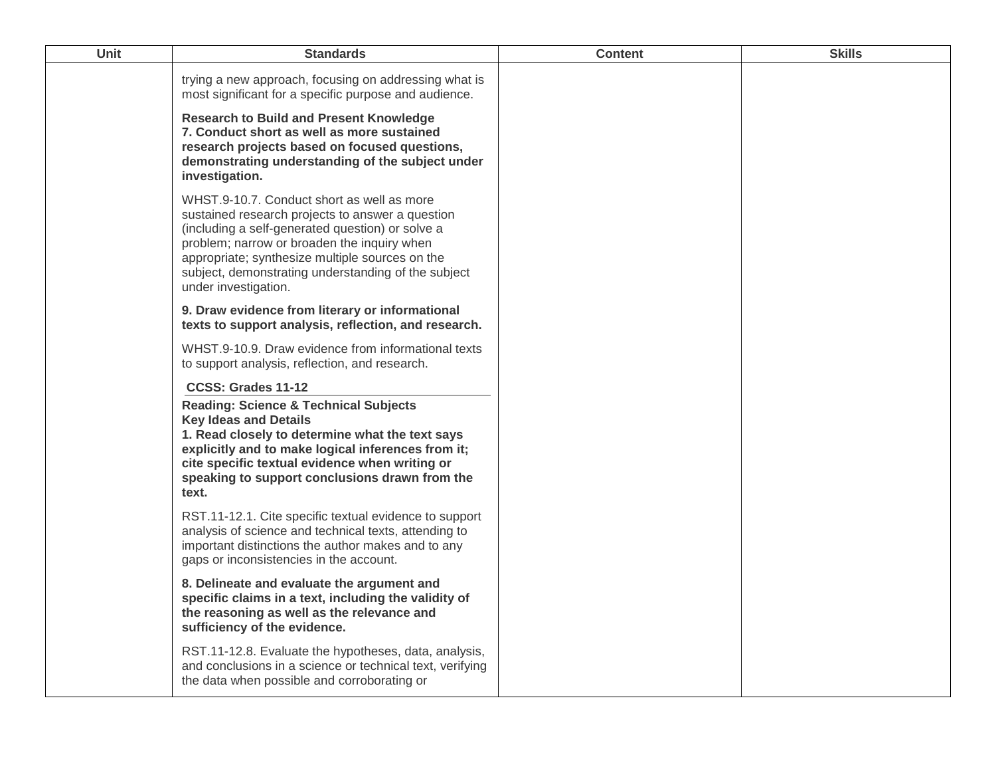| Unit | <b>Standards</b>                                                                                                                                                                                                                                                                                                                    | <b>Content</b> | <b>Skills</b> |
|------|-------------------------------------------------------------------------------------------------------------------------------------------------------------------------------------------------------------------------------------------------------------------------------------------------------------------------------------|----------------|---------------|
|      | trying a new approach, focusing on addressing what is<br>most significant for a specific purpose and audience.                                                                                                                                                                                                                      |                |               |
|      | <b>Research to Build and Present Knowledge</b><br>7. Conduct short as well as more sustained<br>research projects based on focused questions,<br>demonstrating understanding of the subject under<br>investigation.                                                                                                                 |                |               |
|      | WHST.9-10.7. Conduct short as well as more<br>sustained research projects to answer a question<br>(including a self-generated question) or solve a<br>problem; narrow or broaden the inquiry when<br>appropriate; synthesize multiple sources on the<br>subject, demonstrating understanding of the subject<br>under investigation. |                |               |
|      | 9. Draw evidence from literary or informational<br>texts to support analysis, reflection, and research.                                                                                                                                                                                                                             |                |               |
|      | WHST.9-10.9. Draw evidence from informational texts<br>to support analysis, reflection, and research.                                                                                                                                                                                                                               |                |               |
|      | CCSS: Grades 11-12                                                                                                                                                                                                                                                                                                                  |                |               |
|      | <b>Reading: Science &amp; Technical Subjects</b><br><b>Key Ideas and Details</b><br>1. Read closely to determine what the text says<br>explicitly and to make logical inferences from it;<br>cite specific textual evidence when writing or<br>speaking to support conclusions drawn from the<br>text.                              |                |               |
|      | RST.11-12.1. Cite specific textual evidence to support<br>analysis of science and technical texts, attending to<br>important distinctions the author makes and to any<br>gaps or inconsistencies in the account.                                                                                                                    |                |               |
|      | 8. Delineate and evaluate the argument and<br>specific claims in a text, including the validity of<br>the reasoning as well as the relevance and<br>sufficiency of the evidence.                                                                                                                                                    |                |               |
|      | RST.11-12.8. Evaluate the hypotheses, data, analysis,<br>and conclusions in a science or technical text, verifying<br>the data when possible and corroborating or                                                                                                                                                                   |                |               |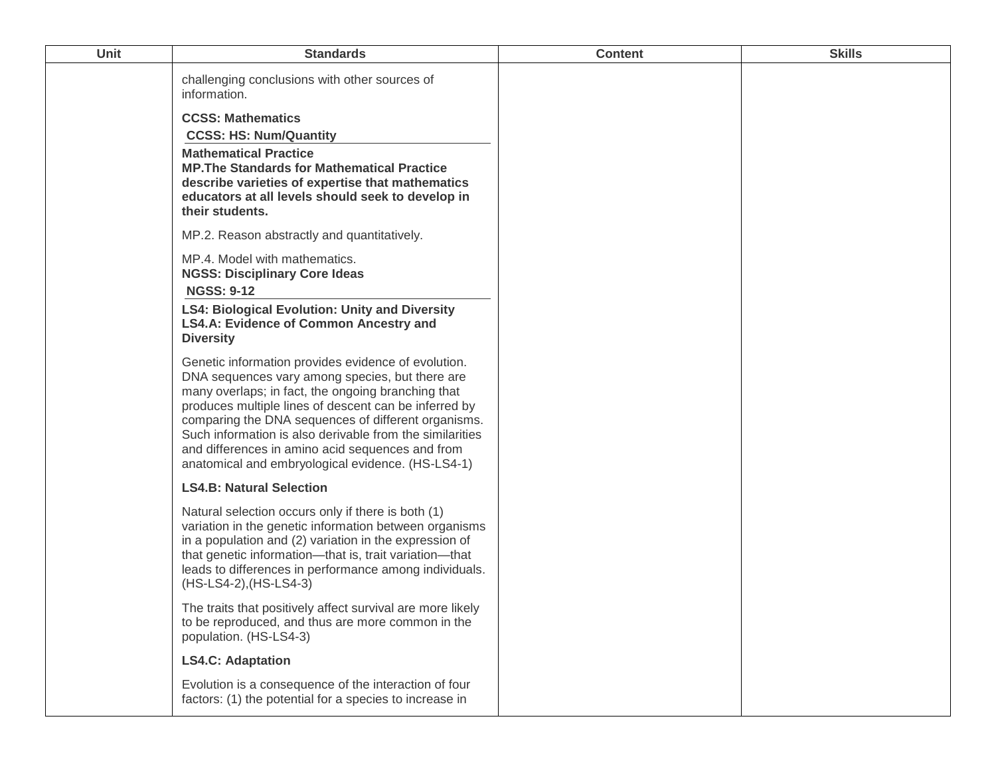| Unit | <b>Standards</b>                                                                                                                                                                                                                                                                                                                                                                                                                                  | <b>Content</b> | <b>Skills</b> |
|------|---------------------------------------------------------------------------------------------------------------------------------------------------------------------------------------------------------------------------------------------------------------------------------------------------------------------------------------------------------------------------------------------------------------------------------------------------|----------------|---------------|
|      | challenging conclusions with other sources of<br>information.                                                                                                                                                                                                                                                                                                                                                                                     |                |               |
|      | <b>CCSS: Mathematics</b><br><b>CCSS: HS: Num/Quantity</b>                                                                                                                                                                                                                                                                                                                                                                                         |                |               |
|      | <b>Mathematical Practice</b><br><b>MP. The Standards for Mathematical Practice</b><br>describe varieties of expertise that mathematics<br>educators at all levels should seek to develop in<br>their students.                                                                                                                                                                                                                                    |                |               |
|      | MP.2. Reason abstractly and quantitatively.                                                                                                                                                                                                                                                                                                                                                                                                       |                |               |
|      | MP.4. Model with mathematics.<br><b>NGSS: Disciplinary Core Ideas</b><br><b>NGSS: 9-12</b>                                                                                                                                                                                                                                                                                                                                                        |                |               |
|      | <b>LS4: Biological Evolution: Unity and Diversity</b><br><b>LS4.A: Evidence of Common Ancestry and</b><br><b>Diversity</b>                                                                                                                                                                                                                                                                                                                        |                |               |
|      | Genetic information provides evidence of evolution.<br>DNA sequences vary among species, but there are<br>many overlaps; in fact, the ongoing branching that<br>produces multiple lines of descent can be inferred by<br>comparing the DNA sequences of different organisms.<br>Such information is also derivable from the similarities<br>and differences in amino acid sequences and from<br>anatomical and embryological evidence. (HS-LS4-1) |                |               |
|      | <b>LS4.B: Natural Selection</b>                                                                                                                                                                                                                                                                                                                                                                                                                   |                |               |
|      | Natural selection occurs only if there is both (1)<br>variation in the genetic information between organisms<br>in a population and (2) variation in the expression of<br>that genetic information-that is, trait variation-that<br>leads to differences in performance among individuals.<br>(HS-LS4-2), (HS-LS4-3)                                                                                                                              |                |               |
|      | The traits that positively affect survival are more likely<br>to be reproduced, and thus are more common in the<br>population. (HS-LS4-3)                                                                                                                                                                                                                                                                                                         |                |               |
|      | <b>LS4.C: Adaptation</b>                                                                                                                                                                                                                                                                                                                                                                                                                          |                |               |
|      | Evolution is a consequence of the interaction of four<br>factors: (1) the potential for a species to increase in                                                                                                                                                                                                                                                                                                                                  |                |               |
|      |                                                                                                                                                                                                                                                                                                                                                                                                                                                   |                |               |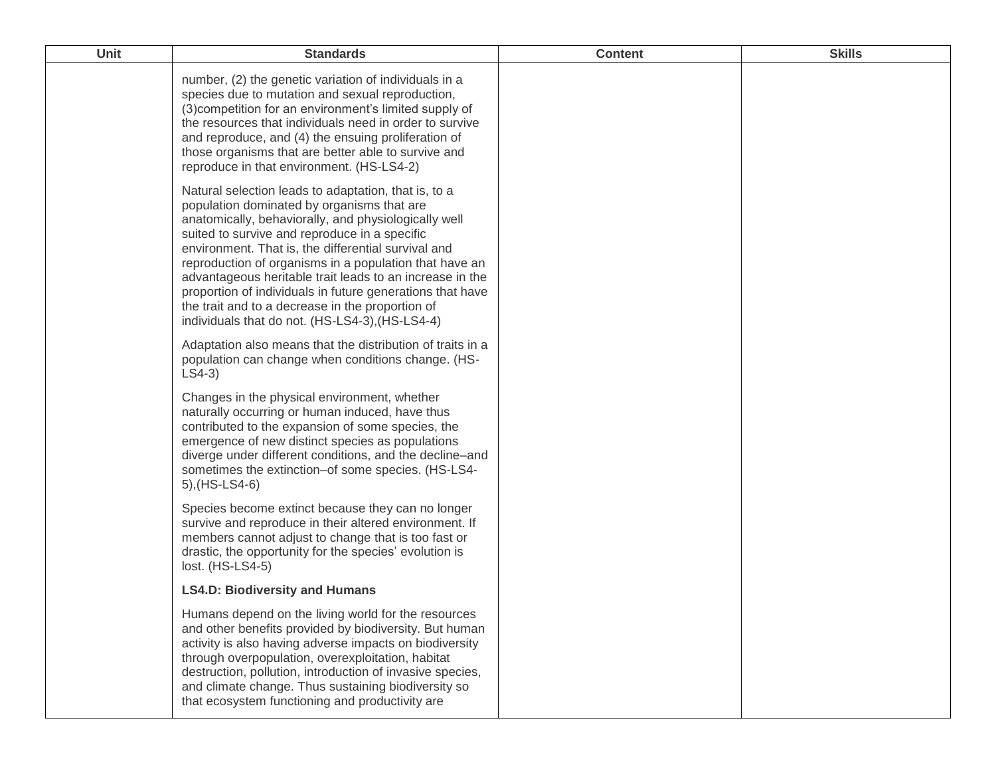| <b>Unit</b> | <b>Standards</b>                                                                                                                                                                                                                                                                                                                                                                                                                                                                                                                                             | <b>Content</b> | <b>Skills</b> |
|-------------|--------------------------------------------------------------------------------------------------------------------------------------------------------------------------------------------------------------------------------------------------------------------------------------------------------------------------------------------------------------------------------------------------------------------------------------------------------------------------------------------------------------------------------------------------------------|----------------|---------------|
|             | number, (2) the genetic variation of individuals in a<br>species due to mutation and sexual reproduction,<br>(3) competition for an environment's limited supply of<br>the resources that individuals need in order to survive<br>and reproduce, and (4) the ensuing proliferation of<br>those organisms that are better able to survive and<br>reproduce in that environment. (HS-LS4-2)                                                                                                                                                                    |                |               |
|             | Natural selection leads to adaptation, that is, to a<br>population dominated by organisms that are<br>anatomically, behaviorally, and physiologically well<br>suited to survive and reproduce in a specific<br>environment. That is, the differential survival and<br>reproduction of organisms in a population that have an<br>advantageous heritable trait leads to an increase in the<br>proportion of individuals in future generations that have<br>the trait and to a decrease in the proportion of<br>individuals that do not. (HS-LS4-3), (HS-LS4-4) |                |               |
|             | Adaptation also means that the distribution of traits in a<br>population can change when conditions change. (HS-<br>$LS4-3)$                                                                                                                                                                                                                                                                                                                                                                                                                                 |                |               |
|             | Changes in the physical environment, whether<br>naturally occurring or human induced, have thus<br>contributed to the expansion of some species, the<br>emergence of new distinct species as populations<br>diverge under different conditions, and the decline-and<br>sometimes the extinction-of some species. (HS-LS4-<br>5), (HS-LS4-6)                                                                                                                                                                                                                  |                |               |
|             | Species become extinct because they can no longer<br>survive and reproduce in their altered environment. If<br>members cannot adjust to change that is too fast or<br>drastic, the opportunity for the species' evolution is<br>lost. (HS-LS4-5)                                                                                                                                                                                                                                                                                                             |                |               |
|             | <b>LS4.D: Biodiversity and Humans</b>                                                                                                                                                                                                                                                                                                                                                                                                                                                                                                                        |                |               |
|             | Humans depend on the living world for the resources<br>and other benefits provided by biodiversity. But human<br>activity is also having adverse impacts on biodiversity<br>through overpopulation, overexploitation, habitat<br>destruction, pollution, introduction of invasive species,<br>and climate change. Thus sustaining biodiversity so<br>that ecosystem functioning and productivity are                                                                                                                                                         |                |               |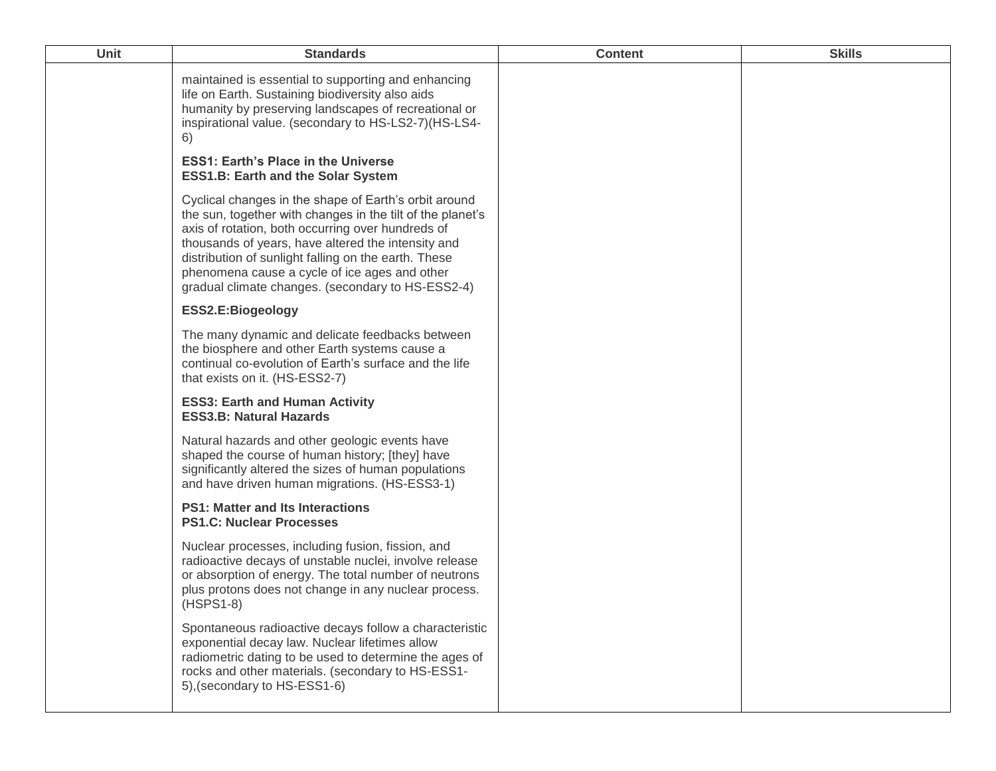| <b>Unit</b> | <b>Standards</b>                                                                                                                                                                                                                                                                                                                                                                             | <b>Content</b> | <b>Skills</b> |
|-------------|----------------------------------------------------------------------------------------------------------------------------------------------------------------------------------------------------------------------------------------------------------------------------------------------------------------------------------------------------------------------------------------------|----------------|---------------|
|             | maintained is essential to supporting and enhancing<br>life on Earth. Sustaining biodiversity also aids<br>humanity by preserving landscapes of recreational or<br>inspirational value. (secondary to HS-LS2-7)(HS-LS4-<br>6)                                                                                                                                                                |                |               |
|             | <b>ESS1: Earth's Place in the Universe</b><br><b>ESS1.B: Earth and the Solar System</b>                                                                                                                                                                                                                                                                                                      |                |               |
|             | Cyclical changes in the shape of Earth's orbit around<br>the sun, together with changes in the tilt of the planet's<br>axis of rotation, both occurring over hundreds of<br>thousands of years, have altered the intensity and<br>distribution of sunlight falling on the earth. These<br>phenomena cause a cycle of ice ages and other<br>gradual climate changes. (secondary to HS-ESS2-4) |                |               |
|             | ESS2.E:Biogeology                                                                                                                                                                                                                                                                                                                                                                            |                |               |
|             | The many dynamic and delicate feedbacks between<br>the biosphere and other Earth systems cause a<br>continual co-evolution of Earth's surface and the life<br>that exists on it. (HS-ESS2-7)                                                                                                                                                                                                 |                |               |
|             | <b>ESS3: Earth and Human Activity</b><br><b>ESS3.B: Natural Hazards</b>                                                                                                                                                                                                                                                                                                                      |                |               |
|             | Natural hazards and other geologic events have<br>shaped the course of human history; [they] have<br>significantly altered the sizes of human populations<br>and have driven human migrations. (HS-ESS3-1)                                                                                                                                                                                   |                |               |
|             | <b>PS1: Matter and Its Interactions</b><br><b>PS1.C: Nuclear Processes</b>                                                                                                                                                                                                                                                                                                                   |                |               |
|             | Nuclear processes, including fusion, fission, and<br>radioactive decays of unstable nuclei, involve release<br>or absorption of energy. The total number of neutrons<br>plus protons does not change in any nuclear process.<br>$(HSPS1-8)$                                                                                                                                                  |                |               |
|             | Spontaneous radioactive decays follow a characteristic<br>exponential decay law. Nuclear lifetimes allow<br>radiometric dating to be used to determine the ages of<br>rocks and other materials. (secondary to HS-ESS1-<br>5), (secondary to HS-ESS1-6)                                                                                                                                      |                |               |
|             |                                                                                                                                                                                                                                                                                                                                                                                              |                |               |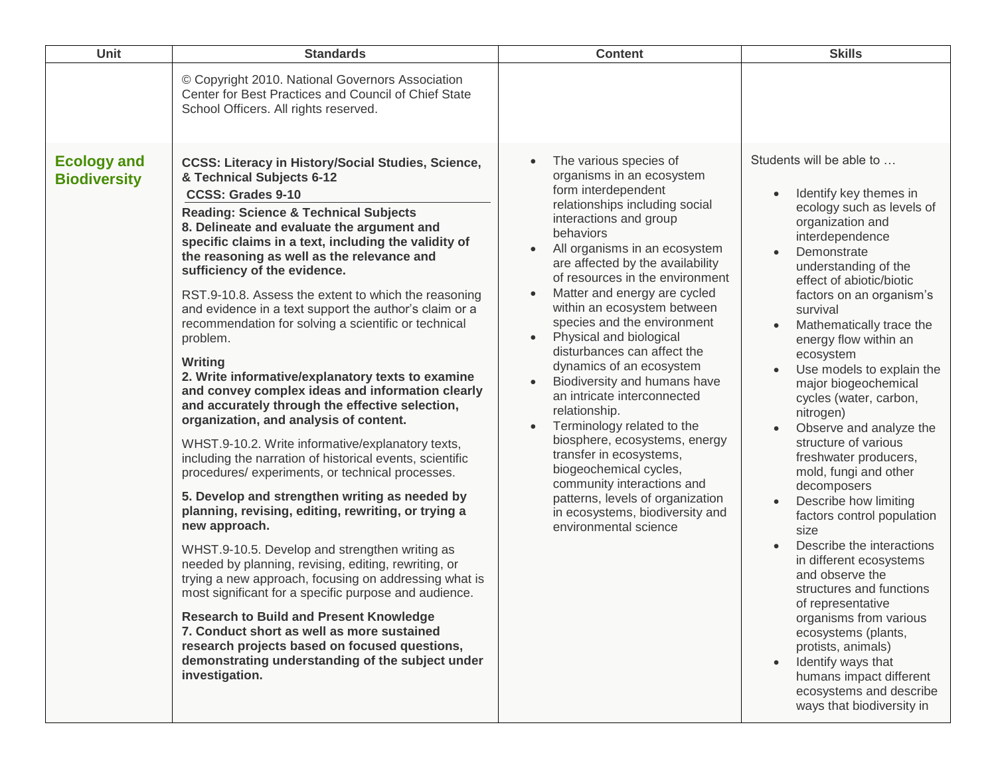| Unit                                      | <b>Standards</b>                                                                                                                                                                                                                                                                                                                                                                                                                                                                                                                                                                                                                                                                                                                                                                                                                                                                                                                                                                                                                                                                                                                                                                                                                                                                                                                                                                                                                                                                                                   | <b>Content</b>                                                                                                                                                                                                                                                                                                                                                                                                                                                                                                                                                                                                                                                                                                                                                                                                                                     | <b>Skills</b>                                                                                                                                                                                                                                                                                                                                                                                                                                                                                                                                                                                                                                                                                                                                                                                                                                                                                  |
|-------------------------------------------|--------------------------------------------------------------------------------------------------------------------------------------------------------------------------------------------------------------------------------------------------------------------------------------------------------------------------------------------------------------------------------------------------------------------------------------------------------------------------------------------------------------------------------------------------------------------------------------------------------------------------------------------------------------------------------------------------------------------------------------------------------------------------------------------------------------------------------------------------------------------------------------------------------------------------------------------------------------------------------------------------------------------------------------------------------------------------------------------------------------------------------------------------------------------------------------------------------------------------------------------------------------------------------------------------------------------------------------------------------------------------------------------------------------------------------------------------------------------------------------------------------------------|----------------------------------------------------------------------------------------------------------------------------------------------------------------------------------------------------------------------------------------------------------------------------------------------------------------------------------------------------------------------------------------------------------------------------------------------------------------------------------------------------------------------------------------------------------------------------------------------------------------------------------------------------------------------------------------------------------------------------------------------------------------------------------------------------------------------------------------------------|------------------------------------------------------------------------------------------------------------------------------------------------------------------------------------------------------------------------------------------------------------------------------------------------------------------------------------------------------------------------------------------------------------------------------------------------------------------------------------------------------------------------------------------------------------------------------------------------------------------------------------------------------------------------------------------------------------------------------------------------------------------------------------------------------------------------------------------------------------------------------------------------|
|                                           | © Copyright 2010. National Governors Association<br>Center for Best Practices and Council of Chief State<br>School Officers. All rights reserved.                                                                                                                                                                                                                                                                                                                                                                                                                                                                                                                                                                                                                                                                                                                                                                                                                                                                                                                                                                                                                                                                                                                                                                                                                                                                                                                                                                  |                                                                                                                                                                                                                                                                                                                                                                                                                                                                                                                                                                                                                                                                                                                                                                                                                                                    |                                                                                                                                                                                                                                                                                                                                                                                                                                                                                                                                                                                                                                                                                                                                                                                                                                                                                                |
| <b>Ecology and</b><br><b>Biodiversity</b> | <b>CCSS: Literacy in History/Social Studies, Science,</b><br>& Technical Subjects 6-12<br><b>CCSS: Grades 9-10</b><br><b>Reading: Science &amp; Technical Subjects</b><br>8. Delineate and evaluate the argument and<br>specific claims in a text, including the validity of<br>the reasoning as well as the relevance and<br>sufficiency of the evidence.<br>RST.9-10.8. Assess the extent to which the reasoning<br>and evidence in a text support the author's claim or a<br>recommendation for solving a scientific or technical<br>problem.<br>Writing<br>2. Write informative/explanatory texts to examine<br>and convey complex ideas and information clearly<br>and accurately through the effective selection,<br>organization, and analysis of content.<br>WHST.9-10.2. Write informative/explanatory texts,<br>including the narration of historical events, scientific<br>procedures/experiments, or technical processes.<br>5. Develop and strengthen writing as needed by<br>planning, revising, editing, rewriting, or trying a<br>new approach.<br>WHST.9-10.5. Develop and strengthen writing as<br>needed by planning, revising, editing, rewriting, or<br>trying a new approach, focusing on addressing what is<br>most significant for a specific purpose and audience.<br><b>Research to Build and Present Knowledge</b><br>7. Conduct short as well as more sustained<br>research projects based on focused questions,<br>demonstrating understanding of the subject under<br>investigation. | The various species of<br>$\bullet$<br>organisms in an ecosystem<br>form interdependent<br>relationships including social<br>interactions and group<br>behaviors<br>All organisms in an ecosystem<br>$\bullet$<br>are affected by the availability<br>of resources in the environment<br>Matter and energy are cycled<br>$\bullet$<br>within an ecosystem between<br>species and the environment<br>Physical and biological<br>$\bullet$<br>disturbances can affect the<br>dynamics of an ecosystem<br>Biodiversity and humans have<br>an intricate interconnected<br>relationship.<br>Terminology related to the<br>$\bullet$<br>biosphere, ecosystems, energy<br>transfer in ecosystems,<br>biogeochemical cycles,<br>community interactions and<br>patterns, levels of organization<br>in ecosystems, biodiversity and<br>environmental science | Students will be able to<br>Identify key themes in<br>ecology such as levels of<br>organization and<br>interdependence<br>Demonstrate<br>understanding of the<br>effect of abiotic/biotic<br>factors on an organism's<br>survival<br>Mathematically trace the<br>energy flow within an<br>ecosystem<br>Use models to explain the<br>major biogeochemical<br>cycles (water, carbon,<br>nitrogen)<br>Observe and analyze the<br>structure of various<br>freshwater producers,<br>mold, fungi and other<br>decomposers<br>Describe how limiting<br>factors control population<br>size<br>Describe the interactions<br>in different ecosystems<br>and observe the<br>structures and functions<br>of representative<br>organisms from various<br>ecosystems (plants,<br>protists, animals)<br>Identify ways that<br>humans impact different<br>ecosystems and describe<br>ways that biodiversity in |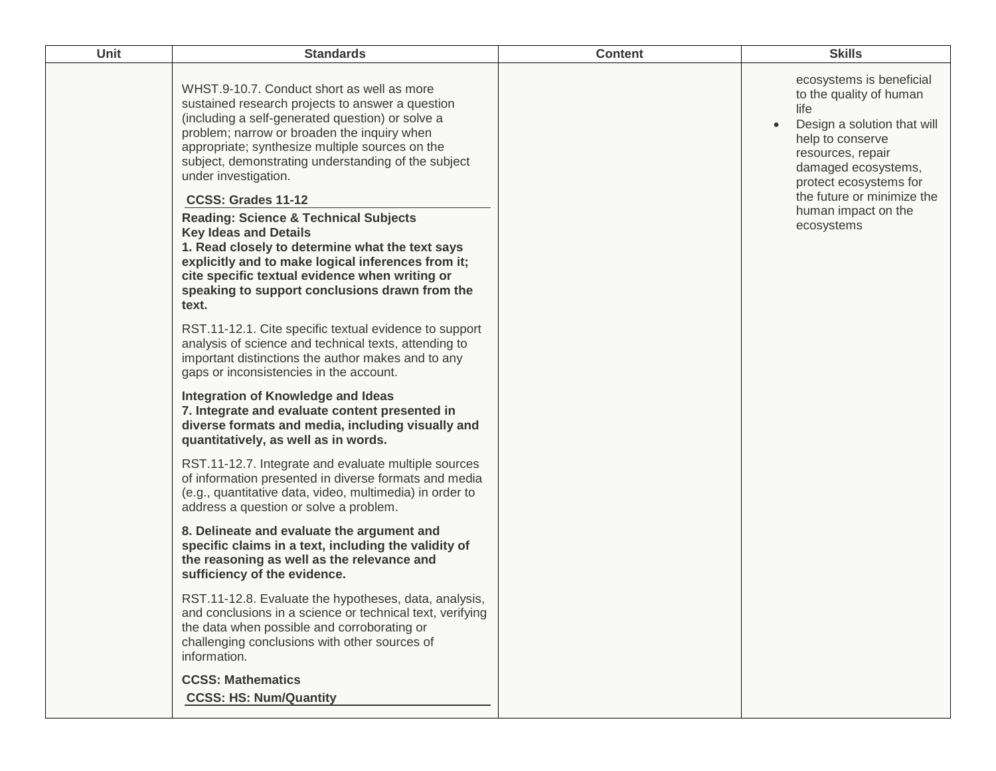| Unit<br><b>Standards</b>                                                                                                                                                                                                                                                                                                                                                                                                                                                                                                                                                                                                                                                                                                                                                                                                                                                                                                                                                                                                                                                                                                                                                                                                                                                                                   | <b>Skills</b>                                                                                                                                                                                                                                                        |
|------------------------------------------------------------------------------------------------------------------------------------------------------------------------------------------------------------------------------------------------------------------------------------------------------------------------------------------------------------------------------------------------------------------------------------------------------------------------------------------------------------------------------------------------------------------------------------------------------------------------------------------------------------------------------------------------------------------------------------------------------------------------------------------------------------------------------------------------------------------------------------------------------------------------------------------------------------------------------------------------------------------------------------------------------------------------------------------------------------------------------------------------------------------------------------------------------------------------------------------------------------------------------------------------------------|----------------------------------------------------------------------------------------------------------------------------------------------------------------------------------------------------------------------------------------------------------------------|
| WHST.9-10.7. Conduct short as well as more<br>sustained research projects to answer a question<br>(including a self-generated question) or solve a<br>problem; narrow or broaden the inquiry when<br>appropriate; synthesize multiple sources on the<br>subject, demonstrating understanding of the subject<br>under investigation.<br>CCSS: Grades 11-12<br><b>Reading: Science &amp; Technical Subjects</b><br><b>Key Ideas and Details</b><br>1. Read closely to determine what the text says<br>explicitly and to make logical inferences from it;<br>cite specific textual evidence when writing or<br>speaking to support conclusions drawn from the<br>text.<br>RST.11-12.1. Cite specific textual evidence to support<br>analysis of science and technical texts, attending to<br>important distinctions the author makes and to any<br>gaps or inconsistencies in the account.<br><b>Integration of Knowledge and Ideas</b><br>7. Integrate and evaluate content presented in<br>diverse formats and media, including visually and<br>quantitatively, as well as in words.<br>RST.11-12.7. Integrate and evaluate multiple sources<br>of information presented in diverse formats and media<br>(e.g., quantitative data, video, multimedia) in order to<br>address a question or solve a problem. | ecosystems is beneficial<br>to the quality of human<br>life<br>Design a solution that will<br>$\bullet$<br>help to conserve<br>resources, repair<br>damaged ecosystems,<br>protect ecosystems for<br>the future or minimize the<br>human impact on the<br>ecosystems |
| 8. Delineate and evaluate the argument and<br>specific claims in a text, including the validity of<br>the reasoning as well as the relevance and<br>sufficiency of the evidence.<br>RST.11-12.8. Evaluate the hypotheses, data, analysis,<br>and conclusions in a science or technical text, verifying<br>the data when possible and corroborating or<br>challenging conclusions with other sources of                                                                                                                                                                                                                                                                                                                                                                                                                                                                                                                                                                                                                                                                                                                                                                                                                                                                                                     |                                                                                                                                                                                                                                                                      |
| information.<br><b>CCSS: Mathematics</b><br><b>CCSS: HS: Num/Quantity</b>                                                                                                                                                                                                                                                                                                                                                                                                                                                                                                                                                                                                                                                                                                                                                                                                                                                                                                                                                                                                                                                                                                                                                                                                                                  |                                                                                                                                                                                                                                                                      |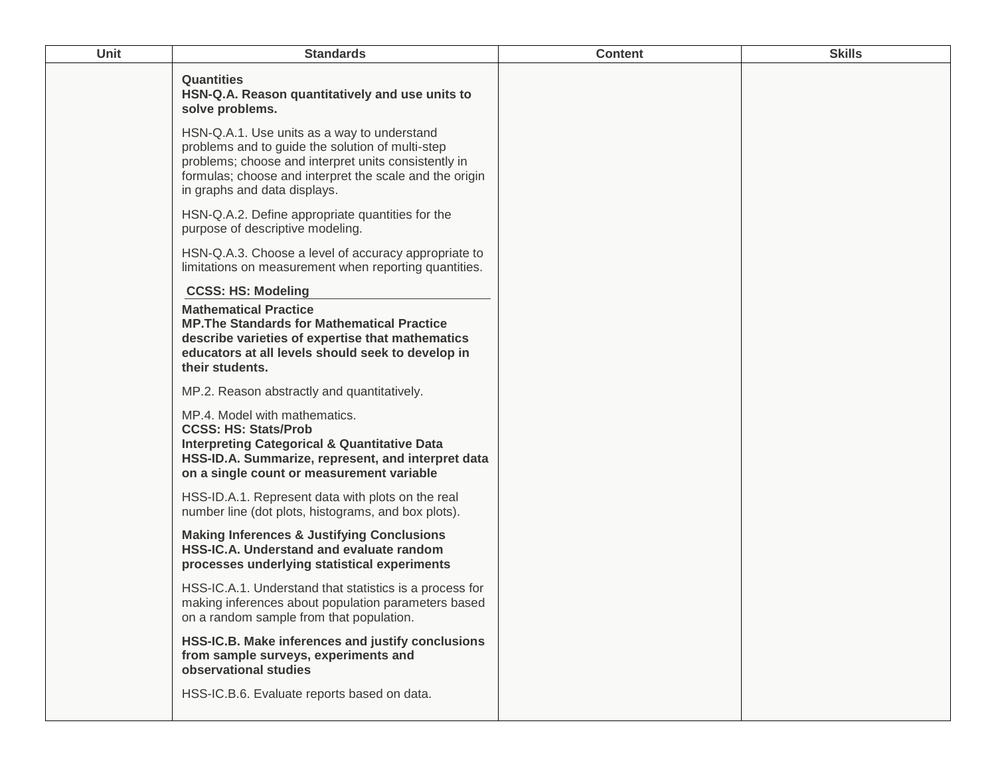| Unit | <b>Standards</b>                                                                                                                                                                                                                                   | <b>Content</b> | <b>Skills</b> |
|------|----------------------------------------------------------------------------------------------------------------------------------------------------------------------------------------------------------------------------------------------------|----------------|---------------|
|      | <b>Quantities</b><br>HSN-Q.A. Reason quantitatively and use units to<br>solve problems.                                                                                                                                                            |                |               |
|      | HSN-Q.A.1. Use units as a way to understand<br>problems and to guide the solution of multi-step<br>problems; choose and interpret units consistently in<br>formulas; choose and interpret the scale and the origin<br>in graphs and data displays. |                |               |
|      | HSN-Q.A.2. Define appropriate quantities for the<br>purpose of descriptive modeling.                                                                                                                                                               |                |               |
|      | HSN-Q.A.3. Choose a level of accuracy appropriate to<br>limitations on measurement when reporting quantities.                                                                                                                                      |                |               |
|      | <b>CCSS: HS: Modeling</b>                                                                                                                                                                                                                          |                |               |
|      | <b>Mathematical Practice</b><br><b>MP. The Standards for Mathematical Practice</b><br>describe varieties of expertise that mathematics<br>educators at all levels should seek to develop in<br>their students.                                     |                |               |
|      | MP.2. Reason abstractly and quantitatively.                                                                                                                                                                                                        |                |               |
|      | MP.4. Model with mathematics.<br><b>CCSS: HS: Stats/Prob</b><br><b>Interpreting Categorical &amp; Quantitative Data</b><br>HSS-ID.A. Summarize, represent, and interpret data<br>on a single count or measurement variable                         |                |               |
|      | HSS-ID.A.1. Represent data with plots on the real<br>number line (dot plots, histograms, and box plots).                                                                                                                                           |                |               |
|      | <b>Making Inferences &amp; Justifying Conclusions</b><br>HSS-IC.A. Understand and evaluate random<br>processes underlying statistical experiments                                                                                                  |                |               |
|      | HSS-IC.A.1. Understand that statistics is a process for<br>making inferences about population parameters based<br>on a random sample from that population.                                                                                         |                |               |
|      | HSS-IC.B. Make inferences and justify conclusions<br>from sample surveys, experiments and<br>observational studies                                                                                                                                 |                |               |
|      | HSS-IC.B.6. Evaluate reports based on data.                                                                                                                                                                                                        |                |               |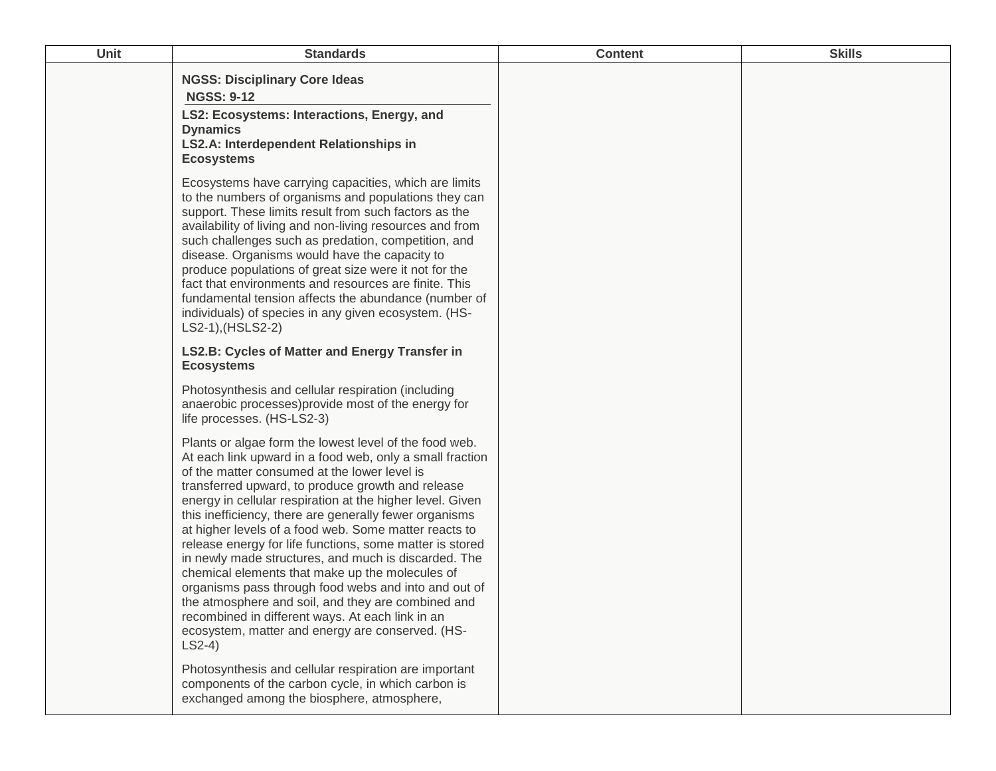| Unit | <b>Standards</b>                                                                                                                                                                                                                                                                                                                                                                                                                                                                                                                                                                                                                                                                                                                                                                                                 | <b>Content</b> | <b>Skills</b> |
|------|------------------------------------------------------------------------------------------------------------------------------------------------------------------------------------------------------------------------------------------------------------------------------------------------------------------------------------------------------------------------------------------------------------------------------------------------------------------------------------------------------------------------------------------------------------------------------------------------------------------------------------------------------------------------------------------------------------------------------------------------------------------------------------------------------------------|----------------|---------------|
|      | <b>NGSS: Disciplinary Core Ideas</b><br><b>NGSS: 9-12</b><br>LS2: Ecosystems: Interactions, Energy, and<br><b>Dynamics</b><br>LS2.A: Interdependent Relationships in<br><b>Ecosystems</b>                                                                                                                                                                                                                                                                                                                                                                                                                                                                                                                                                                                                                        |                |               |
|      | Ecosystems have carrying capacities, which are limits<br>to the numbers of organisms and populations they can<br>support. These limits result from such factors as the<br>availability of living and non-living resources and from<br>such challenges such as predation, competition, and<br>disease. Organisms would have the capacity to<br>produce populations of great size were it not for the<br>fact that environments and resources are finite. This<br>fundamental tension affects the abundance (number of<br>individuals) of species in any given ecosystem. (HS-<br>LS2-1), (HSLS2-2)                                                                                                                                                                                                                |                |               |
|      | LS2.B: Cycles of Matter and Energy Transfer in<br><b>Ecosystems</b>                                                                                                                                                                                                                                                                                                                                                                                                                                                                                                                                                                                                                                                                                                                                              |                |               |
|      | Photosynthesis and cellular respiration (including<br>anaerobic processes) provide most of the energy for<br>life processes. (HS-LS2-3)                                                                                                                                                                                                                                                                                                                                                                                                                                                                                                                                                                                                                                                                          |                |               |
|      | Plants or algae form the lowest level of the food web.<br>At each link upward in a food web, only a small fraction<br>of the matter consumed at the lower level is<br>transferred upward, to produce growth and release<br>energy in cellular respiration at the higher level. Given<br>this inefficiency, there are generally fewer organisms<br>at higher levels of a food web. Some matter reacts to<br>release energy for life functions, some matter is stored<br>in newly made structures, and much is discarded. The<br>chemical elements that make up the molecules of<br>organisms pass through food webs and into and out of<br>the atmosphere and soil, and they are combined and<br>recombined in different ways. At each link in an<br>ecosystem, matter and energy are conserved. (HS-<br>$LS2-4)$ |                |               |
|      | Photosynthesis and cellular respiration are important<br>components of the carbon cycle, in which carbon is<br>exchanged among the biosphere, atmosphere,                                                                                                                                                                                                                                                                                                                                                                                                                                                                                                                                                                                                                                                        |                |               |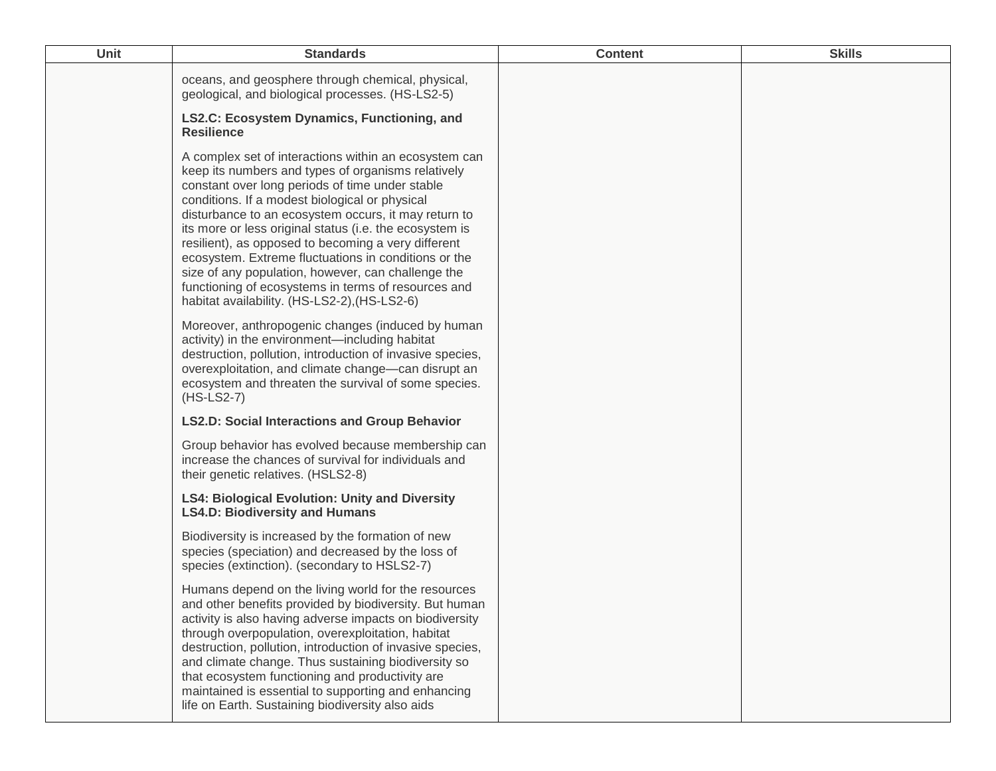| <b>Unit</b> | <b>Standards</b>                                                                                                                                                                                                                                                                                                                                                                                                                                                                                                                                                                                                | <b>Content</b> | <b>Skills</b> |
|-------------|-----------------------------------------------------------------------------------------------------------------------------------------------------------------------------------------------------------------------------------------------------------------------------------------------------------------------------------------------------------------------------------------------------------------------------------------------------------------------------------------------------------------------------------------------------------------------------------------------------------------|----------------|---------------|
|             | oceans, and geosphere through chemical, physical,<br>geological, and biological processes. (HS-LS2-5)                                                                                                                                                                                                                                                                                                                                                                                                                                                                                                           |                |               |
|             | LS2.C: Ecosystem Dynamics, Functioning, and<br><b>Resilience</b>                                                                                                                                                                                                                                                                                                                                                                                                                                                                                                                                                |                |               |
|             | A complex set of interactions within an ecosystem can<br>keep its numbers and types of organisms relatively<br>constant over long periods of time under stable<br>conditions. If a modest biological or physical<br>disturbance to an ecosystem occurs, it may return to<br>its more or less original status (i.e. the ecosystem is<br>resilient), as opposed to becoming a very different<br>ecosystem. Extreme fluctuations in conditions or the<br>size of any population, however, can challenge the<br>functioning of ecosystems in terms of resources and<br>habitat availability. (HS-LS2-2), (HS-LS2-6) |                |               |
|             | Moreover, anthropogenic changes (induced by human<br>activity) in the environment-including habitat<br>destruction, pollution, introduction of invasive species,<br>overexploitation, and climate change-can disrupt an<br>ecosystem and threaten the survival of some species.<br>$(HS-LS2-7)$                                                                                                                                                                                                                                                                                                                 |                |               |
|             | <b>LS2.D: Social Interactions and Group Behavior</b>                                                                                                                                                                                                                                                                                                                                                                                                                                                                                                                                                            |                |               |
|             | Group behavior has evolved because membership can<br>increase the chances of survival for individuals and<br>their genetic relatives. (HSLS2-8)                                                                                                                                                                                                                                                                                                                                                                                                                                                                 |                |               |
|             | <b>LS4: Biological Evolution: Unity and Diversity</b><br><b>LS4.D: Biodiversity and Humans</b>                                                                                                                                                                                                                                                                                                                                                                                                                                                                                                                  |                |               |
|             | Biodiversity is increased by the formation of new<br>species (speciation) and decreased by the loss of<br>species (extinction). (secondary to HSLS2-7)                                                                                                                                                                                                                                                                                                                                                                                                                                                          |                |               |
|             | Humans depend on the living world for the resources<br>and other benefits provided by biodiversity. But human<br>activity is also having adverse impacts on biodiversity<br>through overpopulation, overexploitation, habitat<br>destruction, pollution, introduction of invasive species,<br>and climate change. Thus sustaining biodiversity so<br>that ecosystem functioning and productivity are<br>maintained is essential to supporting and enhancing<br>life on Earth. Sustaining biodiversity also aids                                                                                                 |                |               |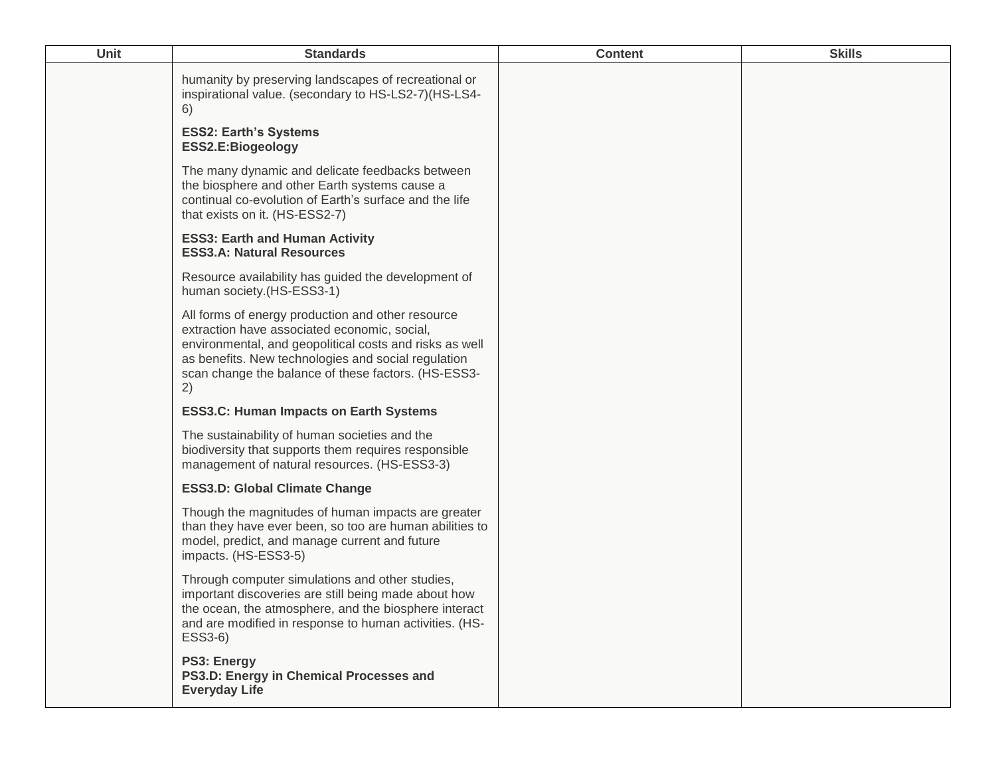| Unit | <b>Standards</b>                                                                                                                                                                                                                                                                 | <b>Content</b> | <b>Skills</b> |
|------|----------------------------------------------------------------------------------------------------------------------------------------------------------------------------------------------------------------------------------------------------------------------------------|----------------|---------------|
|      | humanity by preserving landscapes of recreational or<br>inspirational value. (secondary to HS-LS2-7)(HS-LS4-<br>6)                                                                                                                                                               |                |               |
|      | <b>ESS2: Earth's Systems</b><br>ESS2.E:Biogeology                                                                                                                                                                                                                                |                |               |
|      | The many dynamic and delicate feedbacks between<br>the biosphere and other Earth systems cause a<br>continual co-evolution of Earth's surface and the life<br>that exists on it. (HS-ESS2-7)                                                                                     |                |               |
|      | <b>ESS3: Earth and Human Activity</b><br><b>ESS3.A: Natural Resources</b>                                                                                                                                                                                                        |                |               |
|      | Resource availability has guided the development of<br>human society.(HS-ESS3-1)                                                                                                                                                                                                 |                |               |
|      | All forms of energy production and other resource<br>extraction have associated economic, social,<br>environmental, and geopolitical costs and risks as well<br>as benefits. New technologies and social regulation<br>scan change the balance of these factors. (HS-ESS3-<br>2) |                |               |
|      | <b>ESS3.C: Human Impacts on Earth Systems</b>                                                                                                                                                                                                                                    |                |               |
|      | The sustainability of human societies and the<br>biodiversity that supports them requires responsible<br>management of natural resources. (HS-ESS3-3)                                                                                                                            |                |               |
|      | <b>ESS3.D: Global Climate Change</b>                                                                                                                                                                                                                                             |                |               |
|      | Though the magnitudes of human impacts are greater<br>than they have ever been, so too are human abilities to<br>model, predict, and manage current and future<br>impacts. (HS-ESS3-5)                                                                                           |                |               |
|      | Through computer simulations and other studies,<br>important discoveries are still being made about how<br>the ocean, the atmosphere, and the biosphere interact<br>and are modified in response to human activities. (HS-<br>ESS3-6)                                            |                |               |
|      | PS3: Energy<br>PS3.D: Energy in Chemical Processes and<br><b>Everyday Life</b>                                                                                                                                                                                                   |                |               |